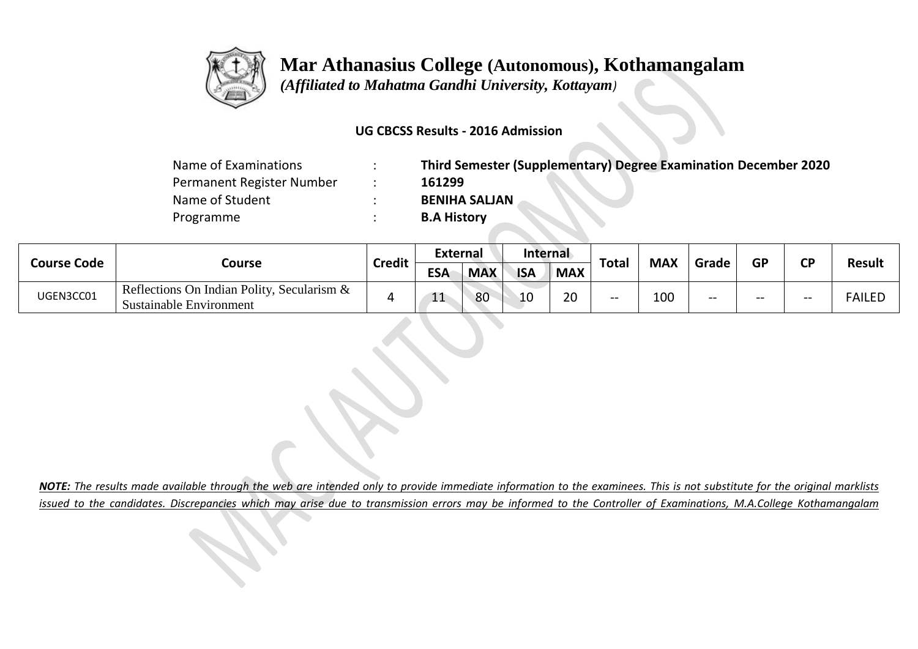

## **Mar Athanasius College (Autonomous), Kothamangalam**

 *(Affiliated to Mahatma Gandhi University, Kottayam)*

### **UG CBCSS Results - 2016 Admission**

| Name of Examinations      | Third Semester (Supplementary) Degree Examination December 2020 |
|---------------------------|-----------------------------------------------------------------|
| Permanent Register Number | 161299                                                          |
| Name of Student           | <b>BENIHA SALJAN</b>                                            |
| Programme                 | <b>B.A History</b>                                              |

| <b>Course Code</b> | Course                                                                          | <b>Credit</b> | External   |            | Internal   |            |              |            |       |           | σD |               |
|--------------------|---------------------------------------------------------------------------------|---------------|------------|------------|------------|------------|--------------|------------|-------|-----------|----|---------------|
|                    |                                                                                 |               | <b>ESA</b> | <b>MAX</b> | <b>ISA</b> | <b>MAX</b> | <b>Total</b> | <b>MAX</b> | Grade | <b>GP</b> |    | <b>Result</b> |
| UGEN3CC01          | Reflections On Indian Polity, Secularism $\&$<br><b>Sustainable Environment</b> |               | --         | 80         | ∸          | ാറ<br>∠∪   | $- -$        | 100        | $- -$ |           | -- | <b>FAILED</b> |

*NOTE: The results made available through the web are intended only to provide immediate information to the examinees. This is not substitute for the original marklists issued to the candidates. Discrepancies which may arise due to transmission errors may be informed to the Controller of Examinations, M.A.College Kothamangalam*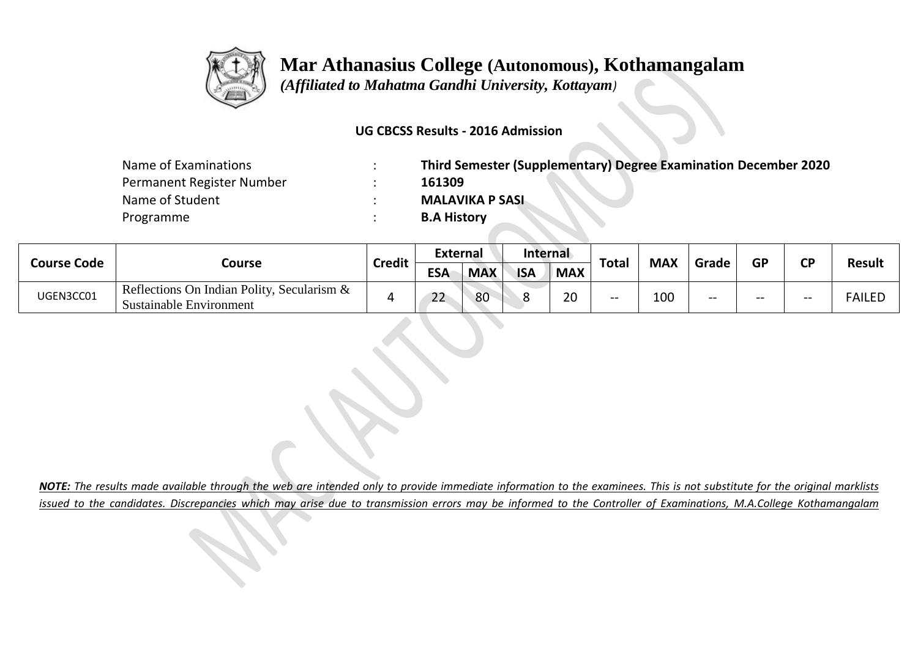

## **Mar Athanasius College (Autonomous), Kothamangalam**

 *(Affiliated to Mahatma Gandhi University, Kottayam)*

### **UG CBCSS Results - 2016 Admission**

| Name of Examinations      | Third Semester (Supplementary) Degree Examination December 2020 |
|---------------------------|-----------------------------------------------------------------|
| Permanent Register Number | 161309                                                          |
| Name of Student           | <b>MALAVIKA P SASL</b>                                          |
| Programme                 | <b>B.A History</b>                                              |

| <b>Course Code</b> | Course                                                                   | <b>Credit</b> | External                   |            | <b>Internal</b> |                |              |            |       | GP | СD |               |
|--------------------|--------------------------------------------------------------------------|---------------|----------------------------|------------|-----------------|----------------|--------------|------------|-------|----|----|---------------|
|                    |                                                                          |               | <b>ESA</b>                 | <b>MAX</b> | <b>ISA</b>      | <b>MAX</b>     | <b>Total</b> | <b>MAX</b> | Grade |    |    | <b>Result</b> |
| UGEN3CC01          | Reflections On Indian Polity, Secularism $\&$<br>Sustainable Environment |               | $\mathbf{a}$<br><u>_ _</u> | 80         |                 | $\Omega$<br>zu | $- -$        | 100        | --    |    | -- | <b>FAILED</b> |

*NOTE: The results made available through the web are intended only to provide immediate information to the examinees. This is not substitute for the original marklists issued to the candidates. Discrepancies which may arise due to transmission errors may be informed to the Controller of Examinations, M.A.College Kothamangalam*